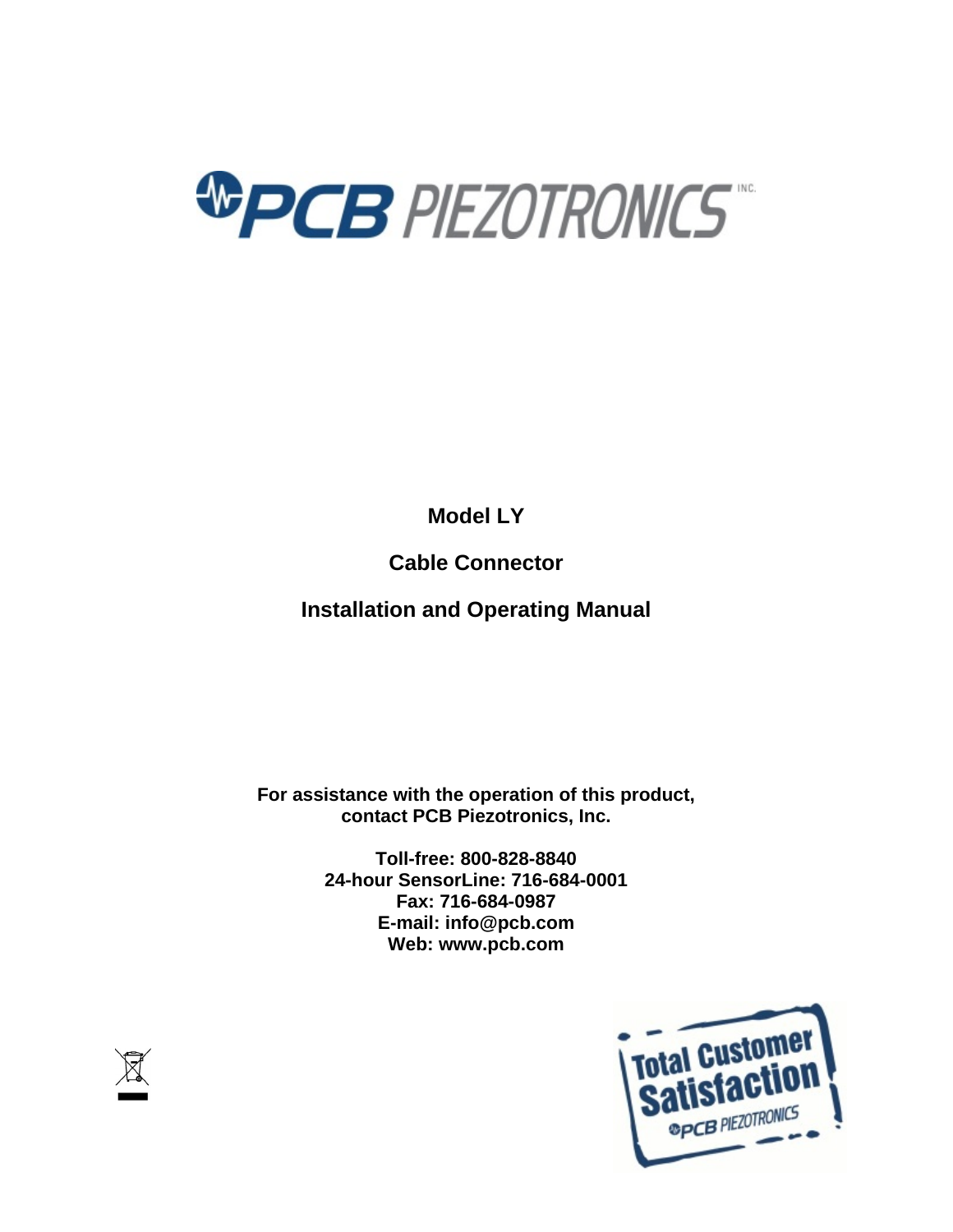

**Model LY**

**Cable Connector**

**Installation and Operating Manual**

**For assistance with the operation of this product, contact PCB Piezotronics, Inc.**

> **Toll-free: 800-828-8840 24-hour SensorLine: 716-684-0001 Fax: 716-684-0987 E-mail: info@pcb.com Web: www.pcb.com**



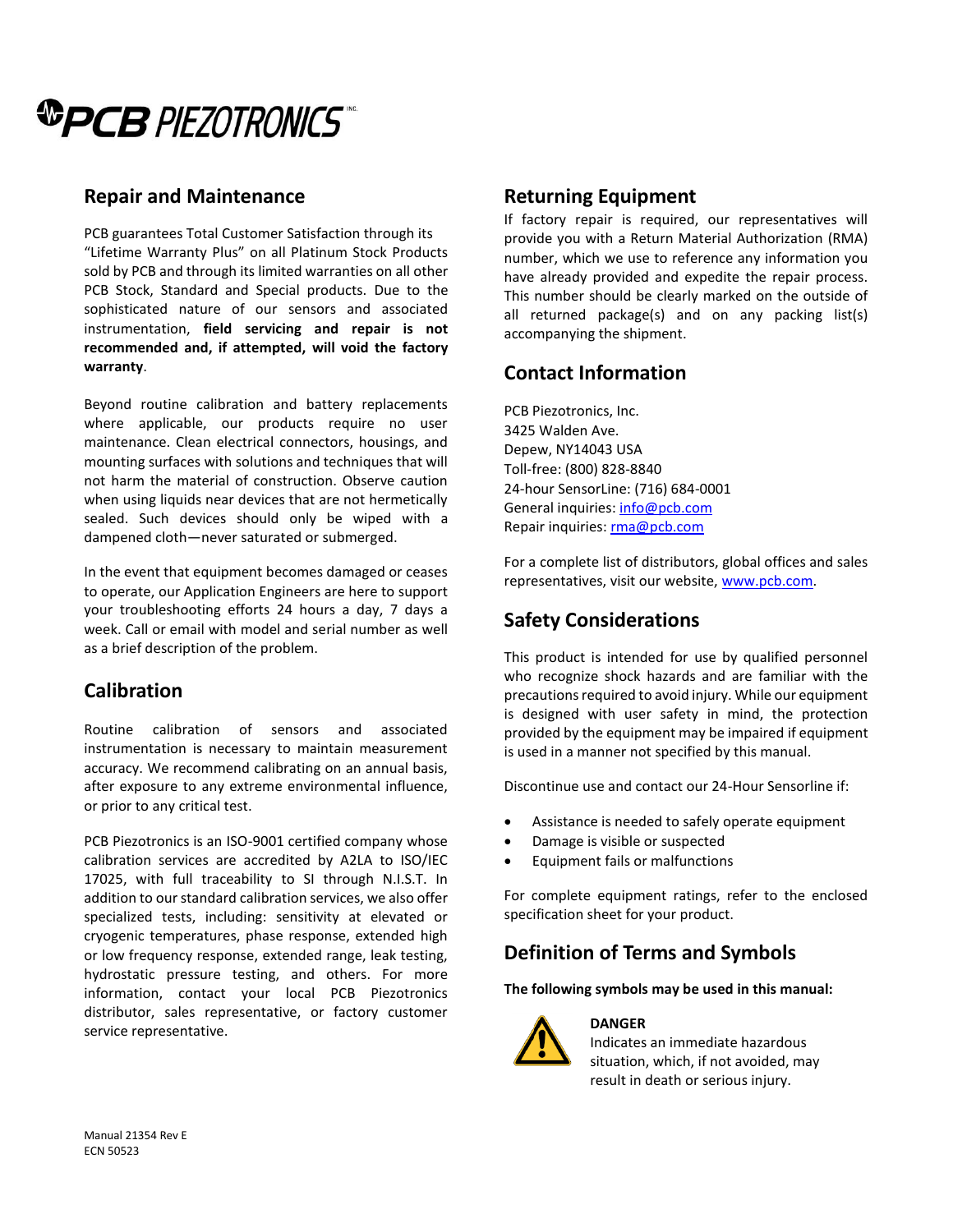

### **Repair and Maintenance**

PCB guarantees Total Customer Satisfaction through its "Lifetime Warranty Plus" on all Platinum Stock Products sold by PCB and through its limited warranties on all other PCB Stock, Standard and Special products. Due to the sophisticated nature of our sensors and associated instrumentation, **field servicing and repair is not recommended and, if attempted, will void the factory warranty**.

Beyond routine calibration and battery replacements where applicable, our products require no user maintenance. Clean electrical connectors, housings, and mounting surfaces with solutions and techniques that will not harm the material of construction. Observe caution when using liquids near devices that are not hermetically sealed. Such devices should only be wiped with a dampened cloth—never saturated or submerged.

In the event that equipment becomes damaged or ceases to operate, our Application Engineers are here to support your troubleshooting efforts 24 hours a day, 7 days a week. Call or email with model and serial number as well as a brief description of the problem.

## **Calibration**

Routine calibration of sensors and associated instrumentation is necessary to maintain measurement accuracy. We recommend calibrating on an annual basis, after exposure to any extreme environmental influence, or prior to any critical test.

PCB Piezotronics is an ISO-9001 certified company whose calibration services are accredited by A2LA to ISO/IEC 17025, with full traceability to SI through N.I.S.T. In addition to our standard calibration services, we also offer specialized tests, including: sensitivity at elevated or cryogenic temperatures, phase response, extended high or low frequency response, extended range, leak testing, hydrostatic pressure testing, and others. For more information, contact your local PCB Piezotronics distributor, sales representative, or factory customer service representative.

## **Returning Equipment**

If factory repair is required, our representatives will provide you with a Return Material Authorization (RMA) number, which we use to reference any information you have already provided and expedite the repair process. This number should be clearly marked on the outside of all returned package(s) and on any packing list(s) accompanying the shipment.

## **Contact Information**

PCB Piezotronics, Inc. 3425 Walden Ave. Depew, NY14043 USA Toll-free: (800) 828-8840 24-hour SensorLine: (716) 684-0001 General inquiries: [info@pcb.com](mailto:info@pcb.com) Repair inquiries[: rma@pcb.com](mailto:rma@pcb.com)

For a complete list of distributors, global offices and sales representatives, visit our website, [www.pcb.com.](http://www.pcb.com/)

# **Safety Considerations**

This product is intended for use by qualified personnel who recognize shock hazards and are familiar with the precautions required to avoid injury. While our equipment is designed with user safety in mind, the protection provided by the equipment may be impaired if equipment is used in a manner not specified by this manual.

Discontinue use and contact our 24-Hour Sensorline if:

- Assistance is needed to safely operate equipment
- Damage is visible or suspected
- Equipment fails or malfunctions

For complete equipment ratings, refer to the enclosed specification sheet for your product.

## **Definition of Terms and Symbols**

**The following symbols may be used in this manual:**



#### **DANGER**

Indicates an immediate hazardous situation, which, if not avoided, may result in death or serious injury.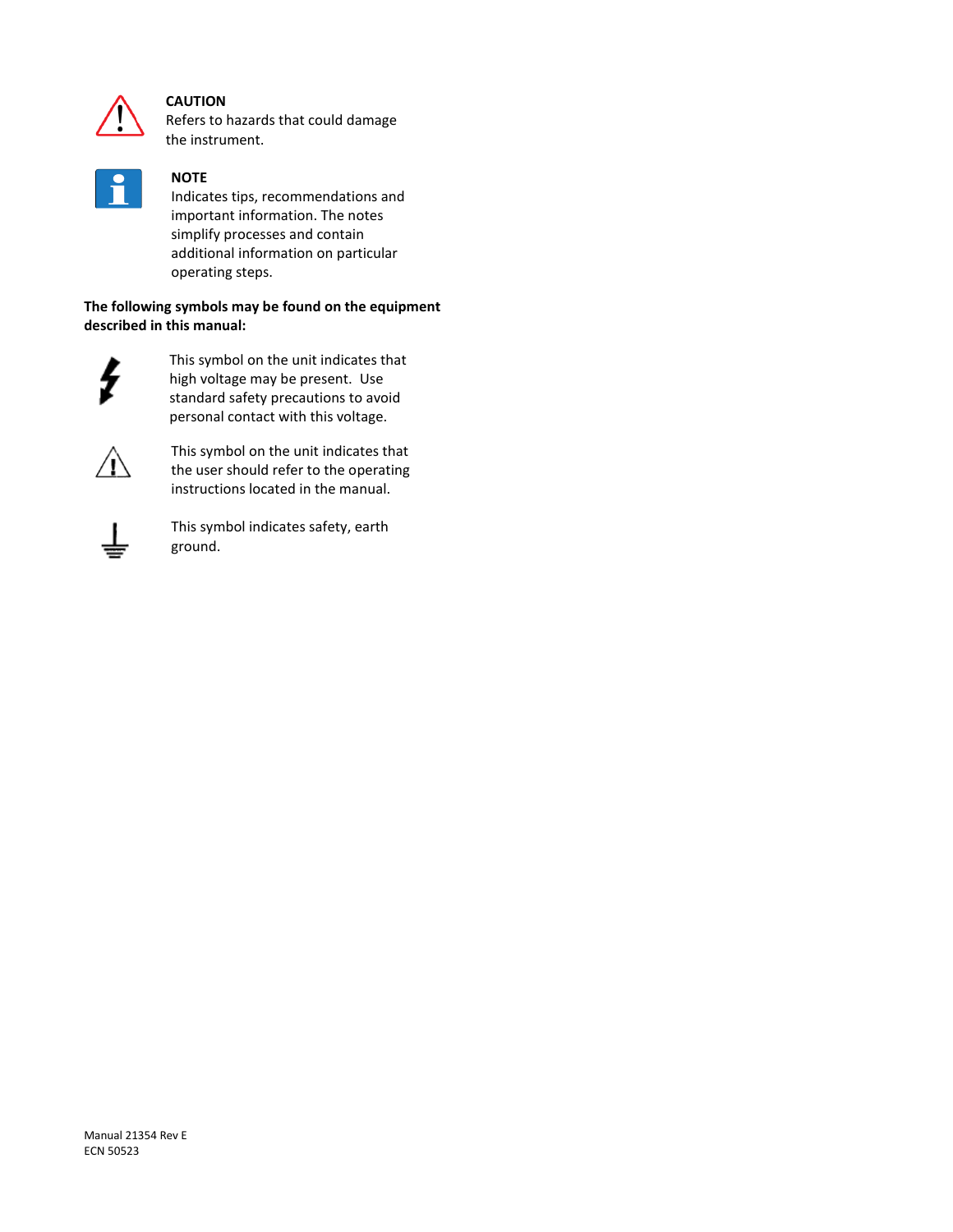

#### **CAUTION**

Refers to hazards that could damage the instrument.



#### **NOTE**

Indicates tips, recommendations and important information. The notes simplify processes and contain additional information on particular operating steps.

**The following symbols may be found on the equipment described in this manual:**



This symbol on the unit indicates that high voltage may be present. Use standard safety precautions to avoid personal contact with this voltage.



This symbol on the unit indicates that the user should refer to the operating instructions located in the manual.



This symbol indicates safety, earth ground.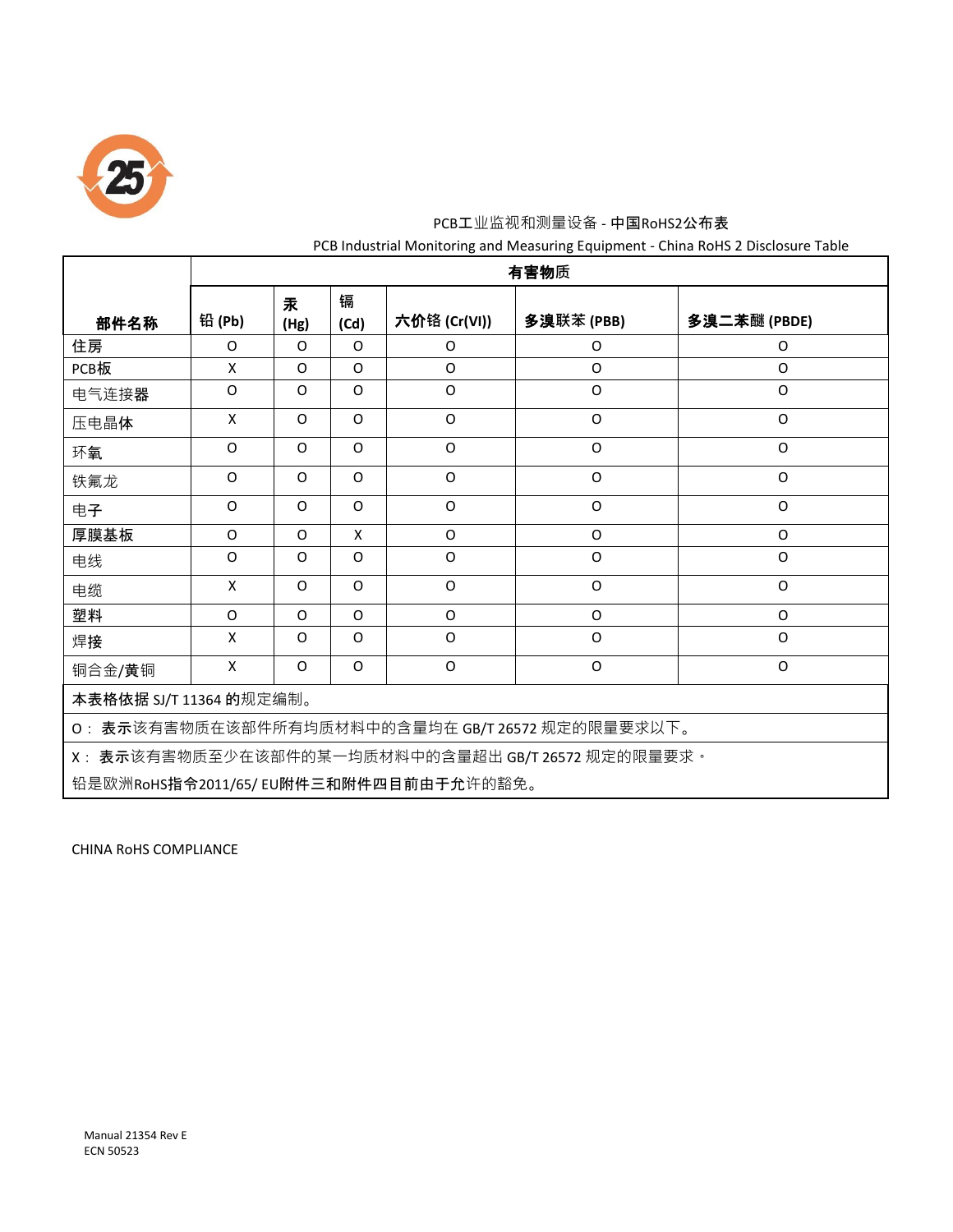

## PCB工业监视和测量设备 - 中国RoHS2公布表 PCB Industrial Monitoring and Measuring Equipment - China RoHS 2 Disclosure Table

|                                                   | 有害物质     |           |           |              |             |              |  |  |
|---------------------------------------------------|----------|-----------|-----------|--------------|-------------|--------------|--|--|
| 部件名称                                              | 铅 (Pb)   | 汞<br>(Hg) | 镉<br>(Cd) | 六价铬 (Cr(VI)) | 多溴联苯(PBB)   | 多溴二苯醚 (PBDE) |  |  |
| 住房                                                | O        | O         | $\Omega$  | 0            | 0           | O            |  |  |
| PCB板                                              | X        | O         | $\Omega$  | O            | O           | O            |  |  |
| 电气连接器                                             | $\Omega$ | O         | 0         | O            | O           | $\Omega$     |  |  |
| 压电晶体                                              | X        | $\Omega$  | $\Omega$  | O            | O           | $\Omega$     |  |  |
| 环氧                                                | $\Omega$ | $\Omega$  | $\Omega$  | O            | O           | O            |  |  |
| 铁氟龙                                               | $\Omega$ | $\Omega$  | $\Omega$  | O            | O           | O            |  |  |
| 电子                                                | $\Omega$ | O         | $\Omega$  | O            | O           | O            |  |  |
| 厚膜基板                                              | O        | $\Omega$  | X         | O            | O           | O            |  |  |
| 电线                                                | O        | $\Omega$  | $\Omega$  | O            | $\mathsf O$ | O            |  |  |
| 电缆                                                | X        | $\Omega$  | $\Omega$  | O            | O           | O            |  |  |
| 塑料                                                | $\Omega$ | $\Omega$  | $\Omega$  | O            | O           | O            |  |  |
| 焊接                                                | X        | O         | $\Omega$  | $\Omega$     | O           | $\Omega$     |  |  |
| 铜合金/黄铜                                            | X        | O         | $\Omega$  | $\Omega$     | O           | $\Omega$     |  |  |
| 本表格依据 SJ/T 11364 的规定编制。                           |          |           |           |              |             |              |  |  |
| O: 表示该有害物质在该部件所有均质材料中的含量均在 GB/T 26572 规定的限量要求以下。  |          |           |           |              |             |              |  |  |
| X: 表示该有害物质至少在该部件的某一均质材料中的含量超出 GB/T 26572 规定的限量要求。 |          |           |           |              |             |              |  |  |
| 铅是欧洲RoHS指令2011/65/ EU附件三和附件四目前由于允许的豁免。            |          |           |           |              |             |              |  |  |

CHINA RoHS COMPLIANCE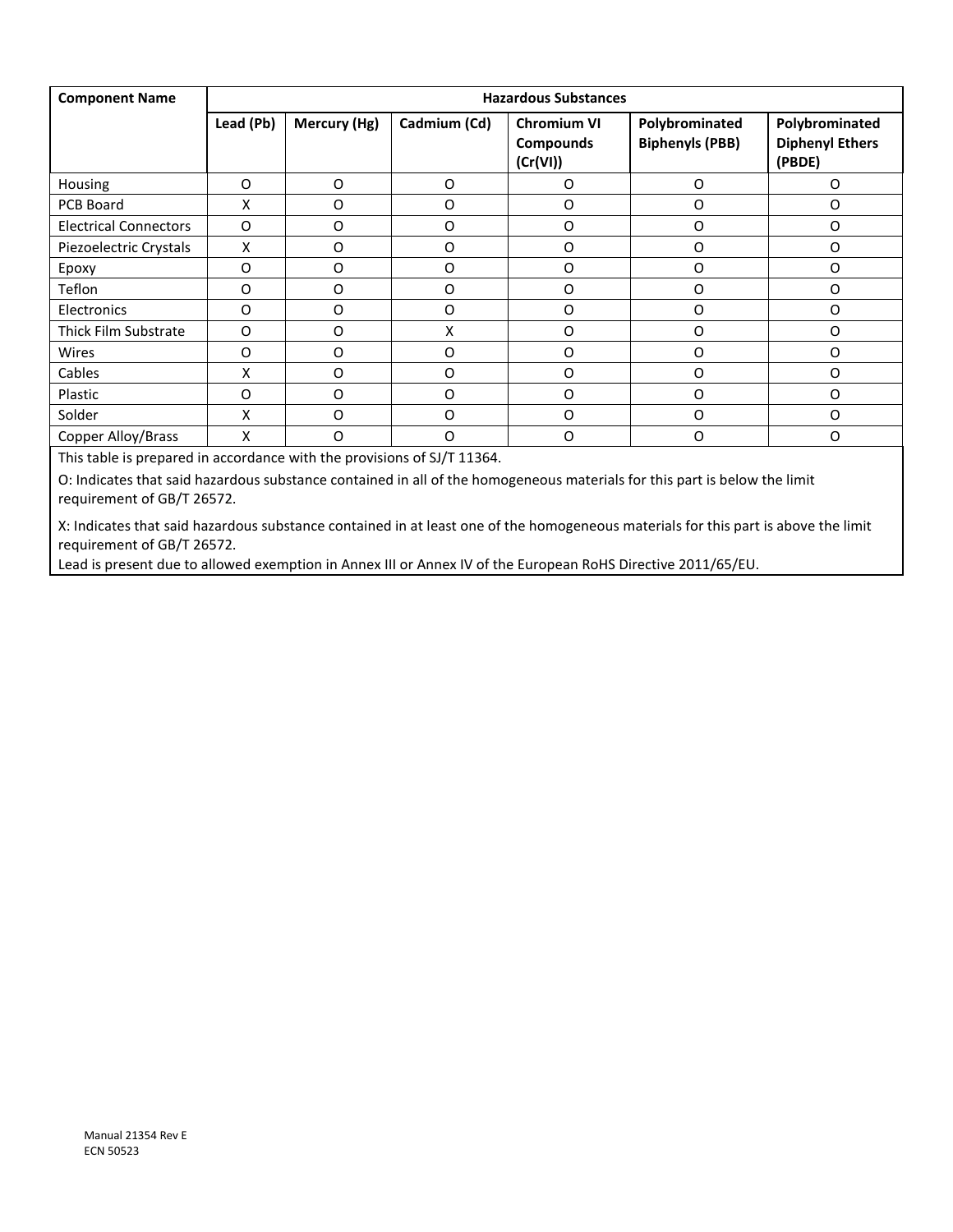| <b>Component Name</b>        | <b>Hazardous Substances</b> |              |              |                                                    |                                          |                                                    |  |
|------------------------------|-----------------------------|--------------|--------------|----------------------------------------------------|------------------------------------------|----------------------------------------------------|--|
|                              | Lead (Pb)                   | Mercury (Hg) | Cadmium (Cd) | <b>Chromium VI</b><br><b>Compounds</b><br>(Cr(VI)) | Polybrominated<br><b>Biphenyls (PBB)</b> | Polybrominated<br><b>Diphenyl Ethers</b><br>(PBDE) |  |
| Housing                      | O                           | O            | O            | $\Omega$                                           | O                                        | O                                                  |  |
| PCB Board                    | x                           | O            | O            | O                                                  | O                                        | O                                                  |  |
| <b>Electrical Connectors</b> | O                           | O            | O            | $\Omega$                                           | O                                        | O                                                  |  |
| Piezoelectric Crystals       | X                           | O            | O            | $\Omega$                                           | O                                        | O                                                  |  |
| Epoxy                        | 0                           | O            | O            | O                                                  | O                                        | O                                                  |  |
| Teflon                       | O                           | O            | O            | O                                                  | O                                        | O                                                  |  |
| Electronics                  | O                           | O            | O            | $\Omega$                                           | $\Omega$                                 | O                                                  |  |
| Thick Film Substrate         | $\Omega$                    | $\Omega$     | X            | $\Omega$                                           | $\Omega$                                 | O                                                  |  |
| Wires                        | O                           | O            | O            | $\Omega$                                           | O                                        | O                                                  |  |
| Cables                       | X                           | O            | O            | $\Omega$                                           | O                                        | $\Omega$                                           |  |
| Plastic                      | O                           | O            | O            | $\Omega$                                           | O                                        | O                                                  |  |
| Solder                       | x                           | O            | O            | O                                                  | O                                        | O                                                  |  |
| Copper Alloy/Brass           | X                           | O            | O            | $\Omega$                                           | O                                        | O                                                  |  |

This table is prepared in accordance with the provisions of SJ/T 11364.

O: Indicates that said hazardous substance contained in all of the homogeneous materials for this part is below the limit requirement of GB/T 26572.

X: Indicates that said hazardous substance contained in at least one of the homogeneous materials for this part is above the limit requirement of GB/T 26572.

Lead is present due to allowed exemption in Annex III or Annex IV of the European RoHS Directive 2011/65/EU.